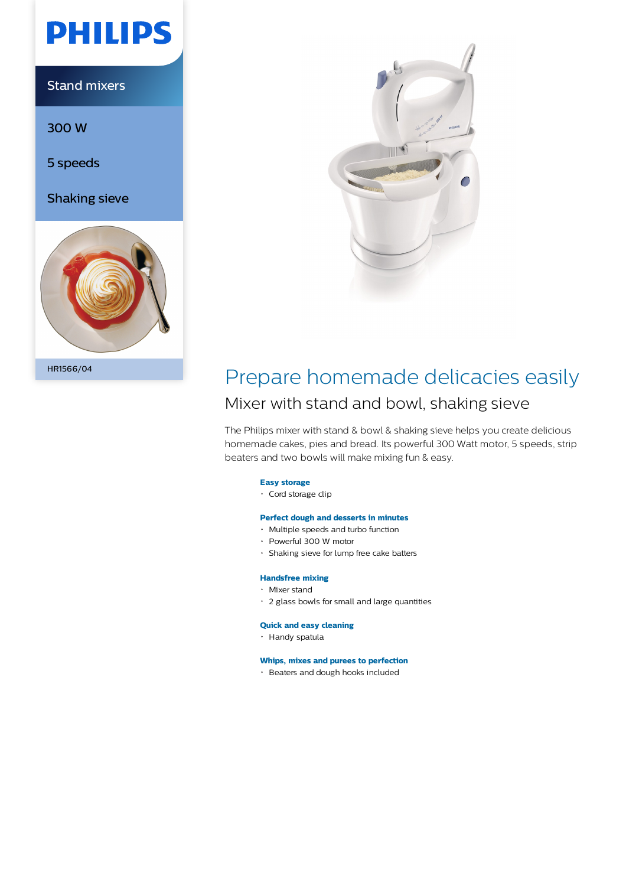

Stand mixers

300 W

5 speeds

Shaking sieve





# HR1566/04 Prepare homemade delicacies easily Mixer with stand and bowl, shaking sieve

The Philips mixer with stand & bowl & shaking sieve helps you create delicious homemade cakes, pies and bread. Its powerful 300 Watt motor, 5 speeds, strip beaters and two bowls will make mixing fun & easy.

### **Easy storage**

# • Cord storage clip

# **Perfect dough and desserts in minutes**

- Multiple speeds and turbo function
- Powerful 300 W motor
- Shaking sieve for lump free cake batters

#### **Handsfree mixing**

- Mixer stand
- 2 glass bowls for small and large quantities

### **Quick and easy cleaning**

Handy spatula

# **Whips, mixes and purees to perfection**

Beaters and dough hooks included